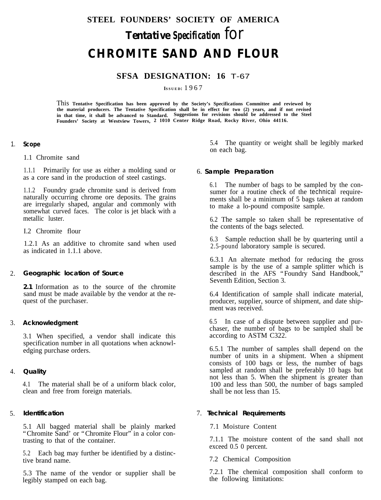# **STEEL FOUNDERS' SOCIETY OF AMERICA** *Tentative Specification for* **CHROMITE SAND AND FLOUR**

## **SFSA DESIGNATION: 16** T-67

**ISSUED:** 1967

This **Tentative Specification has been approved by the Society's Specifications Committee and reviewed by** the material producers. The Tentative Specification shall be in effect for two (2) years, and if not revised<br>in that time, it shall be advanced to Standard. Suggestions for revisions should be addressed to the Steel **Founders' Society at Westview Towers, 2 1010 Center Ridge Road, Rocky River, Ohio 44116.**

#### 1. **Scope**

1.1 Chromite sand

1.1.1 Primarily for use as either a molding sand or as a core sand in the production of steel castings.

1.1.2 Foundry grade chromite sand is derived from naturally occurring chrome ore deposits. The grains are irregularly shaped, angular and commonly with somewhat curved faces. The color is jet black with a metallic luster.

I.2 Chromite flour

1.2.1 As an additive to chromite sand when used as indicated in 1.1.1 above.

#### 2. **Geographic location of Source**

**2.1** Information as to the source of the chromite sand must be made available by the vendor at the request of the purchaser.

### 3. **Acknowledgment**

3.1 When specified, a vendor shall indicate this specification number in all quotations when acknowledging purchase orders.

#### 4. **Quality**

4.1 The material shall be of a uniform black color, clean and free from foreign materials.

#### 5. **Identification**

5.1 All bagged material shall be plainly marked "Chromite Sand' or "Chromite Flour" in a color contrasting to that of the container.

5.2 Each bag may further be identified by a distinctive brand name.

5.3 The name of the vendor or supplier shall be legibly stamped on each bag.

5.4 The quantity or weight shall be legibly marked on each bag.

### 6. **Sample Preparation**

6.1 The number of bags to be sampled by the consumer for a routine check of the technical requirements shall be a minimum of 5 bags taken at random to make a lo-pound composite sample.

6.2 The sample so taken shall be representative of the contents of the bags selected.

6.3 Sample reduction shall be by quartering until a 2.5-pound laboratory sample is secured.

6.3.1 An alternate method for reducing the gross sample is by the use of a sample splitter which is described in the AFS "Foundry Sand Handbook," Seventh Edition, Section 3.

6.4 Identification of sample shall indicate material, producer, supplier, source of shipment, and date shipment was received.

6.5 In case of a dispute between supplier and purchaser, the number of bags to be sampled shall be according to ASTM C322.

6.5.1 The number of samples shall depend on the number of units in a shipment. When a shipment consists of 100 bags or less, the number of bags sampled at random shall be preferably 10 bags but not less than 5. When the shipment is greater than 100 and less than 500, the number of bags sampled shall be not less than 15.

### 7. **Technical Requirements**

7.1 Moisture Content

7.1.1 The moisture content of the sand shall not exceed 0.5 0 percent.

7.2 Chemical Composition

7.2.1 The chemical composition shall conform to the following limitations: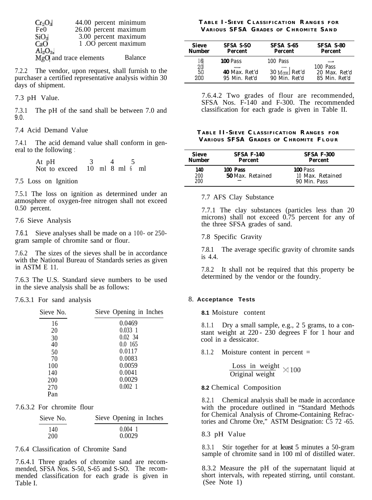| $Cr_2O_3$        | 44.00 percent minimum  |         |
|------------------|------------------------|---------|
| Fe <sub>0</sub>  | 26.00 percent maximum  |         |
| SiO <sub>2</sub> | 3.00 percent maximum   |         |
| CaO              | 1.00 percent maximum   |         |
| $Al_2O_3$        |                        |         |
|                  | MgO and trace elements | Balance |

7.2.2 The vendor, upon request, shall furnish to the purchaser a certified representative analysis within 30 days of shipment.

7.3 pH Value.

7.3.1 The pH of the sand shall be between 7.0 and 9.0.

7.4 Acid Demand Value

7.4.1 The acid demand value shall conform in general to the following :

> At  $pH$  3 4 Not to exceed 10 ml 8 ml 6 ml

7.5 Loss on Ignition

7.5.1 The loss on ignition as determined under an atmosphere of oxygen-free nitrogen shall not exceed 0.50 percent.

7.6 Sieve Analysis

7.6.1 Sieve analyses shall be made on a 100- or 250- 7.8 Specific Gravity<br>gram sample of chromite sand or flour. 7.8 Specific Gravity

7.6.2 The sizes of the sieves shall be in accordance with the National Bureau of Standards series as given in ASTM E 11.

7.6.3 The U.S. Standard sieve numbers to be used in the sieve analysis shall be as follows:

7.6.3.1 For sand analysis 8. **Acceptance Tests**

| Sieve No. | Sieve Opening in Inches |
|-----------|-------------------------|
| 16        | 0.0469                  |
| 20        | 0.0331                  |
| 30        | 0.02, 34                |
| 40        | 0.0165                  |
| 50        | 0.0117                  |
| 70        | 0.0083                  |
| 100       | 0.0059                  |
| 140       | 0.0041                  |
| 200       | 0.0029                  |
| 270       | $0.002$ 1               |
| Pan       |                         |

7.6.3.2 For chromite flour

| Sieve No. | Sieve Opening in Inches |
|-----------|-------------------------|
| 140       | $0.004$ 1               |
| 200       | 0.0029                  |

7.6.4 Classification of Chromite Sand

7.6.4.1 Three grades of chromite sand are recommended, SFSA Nos. S-50, S-65 and S-SO. The recommended classification for each grade is given in Table I.

### **T ABLE I - SIEVE C LASSIFICATION R ANGES FOR V ARIOUS SFSA GRADES OF C HROMITE S A N D**

| <b>Sieve</b><br><b>Number</b> | <b>SFSA S-SO</b><br>Percent | SFSA S-65<br>Percent | SFSA S-80<br><b>Percent</b> |
|-------------------------------|-----------------------------|----------------------|-----------------------------|
| $\frac{16}{20}$               | <b>100 Pass</b>             | 100 Pass             |                             |
|                               |                             |                      | 100 Pass                    |
| 50                            | 40 Max. Ret'd               | 30 Max. Ret'd        | 20 Max. Ret'd               |
| 200                           | 95 Min Ret'd                | 90 Min Ret'd         | 85 Min. Ret'd               |

7.6.4.2 Two grades of flour are recommended, SFSA Nos. F-140 and F-300. The recommended classification for each grade is given in Table II.

#### **T ABLE II- SIEVE C LASSIFICATION R ANGES FOR V ARIOUS SFSA GRADES OF C HROMITE FLOU R**

| <b>Sieve</b>      | <b>SFSA F-140</b>                   | <b>SFSA F-300</b>                                   |
|-------------------|-------------------------------------|-----------------------------------------------------|
| <b>Number</b>     | Percent                             | Percent                                             |
| 140<br>200<br>200 | 100 Pass<br><b>50</b> Max. Retained | <b>100 Pass</b><br>10 Max. Retained<br>90 Min. Pass |

#### 7.7 AFS Clay Substance

7.7.1 The clay substances (particles less than 20 microns) shall not exceed  $0.75$  percent for any of the three SFSA grades of sand.

7.8.1 The average specific gravity of chromite sands is 4.4.

7.8.2 It shall not be required that this property be

**8.1** Moisture content

8.1.1 Dry a small sample, e.g., 2 5 grams, to a constant weight at 220 - 230 degrees F for 1 hour and cool in a dessicator.

8.1.2 Moisture content in percent =

Loss in weight  $\times$  100 Original weight

#### **8.2** Chemical Composition

8.2.1 Chemical analysis shall be made in accordance with the procedure outlined in "Standard Methods for Chemical Analysis of Chrome-Containing Refractories and Chrome Ore," ASTM Designation: C5 72 -65.

#### 8.3 pH Value

8.3.1 Stir together for at least 5 minutes a 50-gram sample of chromite sand in 100 ml of distilled water.

8.3.2 Measure the pH of the supernatant liquid at short intervals, with repeated stirring, until constant. (See Note 1)